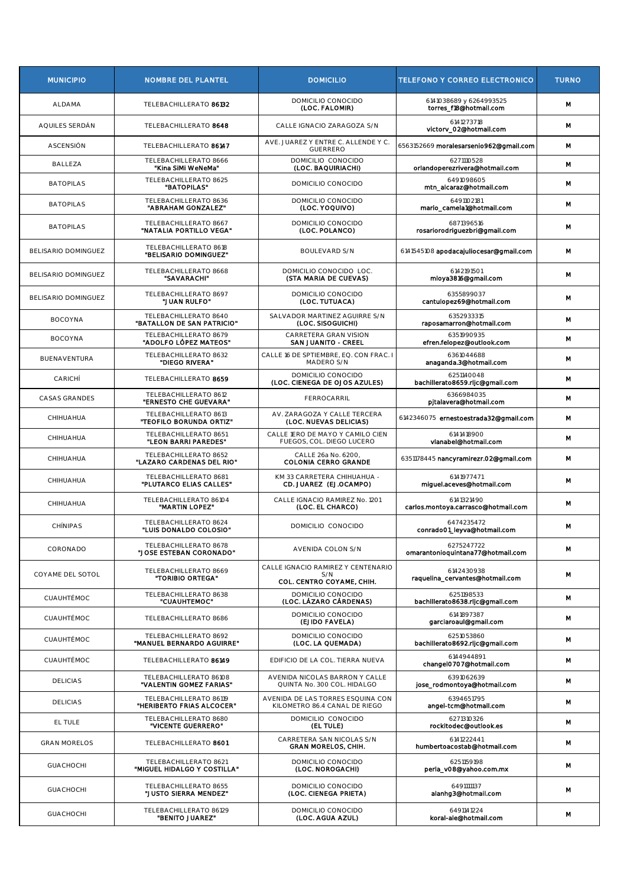| <b>MUNICIPIO</b>    | <b>NOMBRE DEL PLANTEL</b>                            | <b>DOMICILIO</b>                                                       | TELEFONO Y CORREO ELECTRONICO                     | <b>TURNO</b> |
|---------------------|------------------------------------------------------|------------------------------------------------------------------------|---------------------------------------------------|--------------|
| <b>ALDAMA</b>       | TELEBACHILLERATO 86132                               | DOMICILIO CONOCIDO<br>(LOC. FALOMIR)                                   | 6141038689 y 6264993525<br>torres_f18@hotmail.com | М            |
| AQUILES SERDÁN      | TELEBACHILLERATO 8648                                | CALLE IGNACIO ZARAGOZA S/N                                             | 6141273718<br>victorv_02@hotmail.com              | M            |
| ASCENSIÓN           | TELEBACHILLERATO 86147                               | AVE. JUAREZ Y ENTRE C. ALLENDE Y C.<br><b>GUERRERO</b>                 | 6563152669 moralesarsenlo962@gmail.com            | M            |
| BALLEZA             | TELEBACHILLERATO 8666<br>"Kina SiMi WeNeMa"          | DOMICILIO CONOCIDO<br>(LOC. BAQUIRIACHI)                               | 6271110528<br>orlandoperezrivera@hotmail.com      | М            |
| <b>BATOPILAS</b>    | TELEBACHILLERATO 8625<br>"BATOPILAS"                 | DOMICILIO CONOCIDO                                                     | 6491098605<br>mtn_alcaraz@hotmail.com             | M            |
| <b>BATOPILAS</b>    | TELEBACHILLERATO 8636<br>"ABRAHAM GONZALEZ"          | DOMICILIO CONOCIDO<br>(LOC. YOQUIVO)                                   | 6491102181<br>marlo camela1@hotmail.com           | M            |
| <b>BATOPILAS</b>    | TELEBACHILLERATO 8667<br>"NATALIA PORTILLO VEGA"     | DOMICILIO CONOCIDO<br>(LOC. POLANCO)                                   | 6871396516<br>rosariorodriguezbri@gmail.com       | M            |
| BELISARIO DOMINGUEZ | TELEBACHILLERATO 8618<br>"BELISARIO DOMINGUEZ"       | <b>BOULEVARD S/N</b>                                                   | 6141545108 apodacajullocesar@gmail.com            | м            |
| BELISARIO DOMINGUEZ | TELEBACHILLERATO 8668<br>"SAVARACHI"                 | DOMICILIO CONOCIDO LOC.<br>(STA MARIA DE CUEVAS)                       | 6142191501<br>mloya3816@gmail.com                 | M            |
| BELISARIO DOMINGUEZ | TELEBACHILLERATO 8697<br>"JUAN RULFO"                | DOMICILIO CONOCIDO<br>(LOC. TUTUACA)                                   | 6355899037<br>cantulopez69@hotmail.com            | M            |
| <b>BOCOYNA</b>      | TELEBACHILLERATO 8640<br>"BATALLON DE SAN PATRICIO"  | SALVADOR MARTINEZ AGUIRRE S/N<br>(LOC. SISOGUICHI)                     | 6352933315<br>raposamarron@hotmail.com            | M            |
| <b>BOCOYNA</b>      | TELEBACHILLERATO 8679<br>"ADOLFO LÓPEZ MATEOS"       | CARRETERA GRAN VISION<br>SAN JUANITO - CREEL                           | 6351990935<br>efren.felopez@outlook.com           | M            |
| BUENAVENTURA        | TELEBACHILLERATO 8632<br>"DIEGO RIVERA"              | CALLE 16 DE SPTIEMBRE, EQ. CON FRAC.<br>MADERO S/N                     | 6361044688<br>anaganda.3@hotmail.com              | M            |
| CARICHÍ             | TELEBACHILLERATO 8659                                | DOMICILIO CONOCIDO<br>(LOC. CIENEGA DE OJOS AZULES)                    | 6251140048<br>bachillerato8659.rljc@gmail.com     | M            |
| CASAS GRANDES       | TELEBACHILLERATO 8612<br>"ERNESTO CHE GUEVARA"       | FERROCARRIL                                                            | 6366984035<br>pjtalavera@hotmail.com              | M            |
| CHIHUAHUA           | TELEBACHILLERATO 8613<br>"TEOFILO BORUNDA ORTIZ"     | AV. ZARAGOZA Y CALLE TERCERA<br>(LOC. NUEVAS DELICIAS)                 | 6142346075 ernestoestrada32@gmail.com             | M            |
| CHIHUAHUA           | TELEBACHILLERATO 8651<br>"LEON BARRI PAREDES"        | CALLE 1ERO DE MAYO Y CAMILO CIEN<br>FUEGOS, COL. DIEGO LUCERO          | 6141418900<br>vlanabel@hotmail.com                | M            |
| CHIHUAHUA           | TELEBACHILLERATO 8652<br>"LAZARO CARDENAS DEL RIO"   | CALLE 26a No. 6200,<br><b>COLONIA CERRO GRANDE</b>                     | 6351178445 nancyramirezr.02@gmail.com             | M            |
| CHIHUAHUA           | TELEBACHILLERATO 8681<br>"PLUTARCO ELIAS CALLES"     | KM 33 CARRETERA CHIHUAHUA -<br>CD. JUAREZ (EJ.OCAMPO)                  | 6141977471<br>miguel.aceves@hotmail.com           | м            |
| CHIHUAHUA           | TELEBACHILLERATO 86104<br>"MARTIN LOPEZ"             | CALLE IGNACIO RAMIREZ No. 1201<br>(LOC. EL CHARCO)                     | 6141321490<br>carlos.montoya.carrasco@hotmail.com | м            |
| <b>CHÍNIPAS</b>     | TELEBACHILLERATO 8624<br>"LUIS DONALDO COLOSIO"      | DOMICILIO CONOCIDO                                                     | 6474235472<br>conrado01_leyva@hotmail.com         | M            |
| CORONADO            | TELEBACHILLERATO 8678<br>"JOSE ESTEBAN CORONADO"     | AVENIDA COLON S/N                                                      | 6275247722<br>omarantonioquintana77@hotmail.com   | M            |
| COYAME DEL SOTOL    | TELEBACHILLERATO 8669<br>"TORIBIO ORTEGA"            | CALLE IGNACIO RAMIREZ Y CENTENARIO<br>S/N<br>COL. CENTRO COYAME, CHIH. | 6142430938<br>raquelina_cervantes@hotmail.com     | M            |
| CUAUHTÉMOC          | TELEBACHILLERATO 8638<br>"CUAUHTEMOC"                | DOMICILIO CONOCIDO<br>(LOC. LÁZARO CÁRDENAS)                           | 6251198533<br>bachillerato8638.rljc@gmail.com     | м            |
| CUAUHTÉMOC          | TELEBACHILLERATO 8686                                | DOMICILIO CONOCIDO<br>(EJIDO FAVELA)                                   | 6141897387<br>garclaroaul@gmail.com               | м            |
| CUAUHTÉMOC          | TELEBACHILLERATO 8692<br>"MANUEL BERNARDO AGUIRRE"   | DOMICILIO CONOCIDO<br>(LOC. LA QUEMADA)                                | 6251053860<br>bachillerato8692.rljc@gmail.com     | м            |
| CUAUHTÉMOC          | TELEBACHILLERATO 86149                               | EDIFICIO DE LA COL. TIERRA NUEVA                                       | 6144944891<br>changel0707@hotmail.com             | м            |
| <b>DELICIAS</b>     | TELEBACHILLERATO 86108<br>"VALENTIN GOMEZ FARIAS"    | AVENIDA NICOLAS BARRON Y CALLE<br>QUINTA No. 300 COL. HIDALGO          | 6391062639<br>jose_rodmontoya@hotmail.com         | м            |
| <b>DELICIAS</b>     | TELEBACHILLERATO 86119<br>"HERIBERTO FRIAS ALCOCER"  | AVENIDA DE LAS TORRES ESQUINA CON<br>KILOMETRO 86.4 CANAL DE RIEGO     | 6394651795<br>angel-tcm@hotmail.com               | м            |
| EL TULE             | TELEBACHILLERATO 8680<br>"VICENTE GUERRERO"          | DOMICILIO CONOCIDO<br>(EL TULE)                                        | 6271310326<br>rockitodec@outlook.es               | м            |
| <b>GRAN MORELOS</b> | TELEBACHILLERATO 8601                                | CARRETERA SAN NICOLAS S/N<br><b>GRAN MORELOS, CHIH.</b>                | 6141222441<br>humbertoacostab@hotmail.com         | м            |
| <b>GUACHOCHI</b>    | TELEBACHILLERATO 8621<br>"MIGUEL HIDALGO Y COSTILLA" | DOMICILIO CONOCIDO<br>(LOC. NOROGACHI)                                 | 6251159198<br>perla_v08@yahoo.com.mx              | м            |
| <b>GUACHOCHI</b>    | TELEBACHILLERATO 8655<br>"JUSTO SIERRA MENDEZ"       | DOMICILIO CONOCIDO<br>(LOC. CIENEGA PRIETA)                            | 6491111137<br>alanhg3@hotmail.com                 | м            |
| <b>GUACHOCHI</b>    | TELEBACHILLERATO 86129<br>"BENITO JUAREZ"            | DOMICILIO CONOCIDO<br>(LOC. AGUA AZUL)                                 | 6491141224<br>koral-ale@hotmall.com               | м            |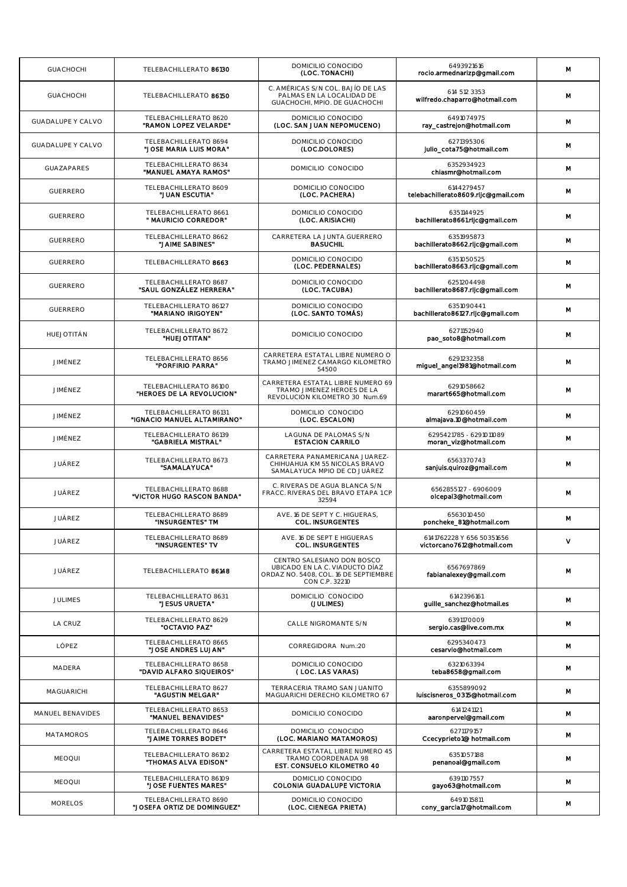| <b>GUACHOCHI</b>         | TELEBACHILLERATO 86130                                | DOMICILIO CONOCIDO<br>(LOC. TONACHI)                                                                                    | 6493921616<br>roclo.armednarizp@gmail.com               | М |
|--------------------------|-------------------------------------------------------|-------------------------------------------------------------------------------------------------------------------------|---------------------------------------------------------|---|
| <b>GUACHOCHI</b>         | TELEBACHILLERATO 86150                                | C. AMÉRICAS S/N COL. BAJÍO DE LAS<br>PALMAS EN LA LOCALIDAD DE<br>GUACHOCHI, MPIO. DE GUACHOCHI                         | 614 512 3353<br>wilfredo.chaparro@hotmail.com           | M |
| <b>GUADALUPE Y CALVO</b> | TELEBACHILLERATO 8620<br>"RAMON LOPEZ VELARDE"        | DOMICILIO CONOCIDO<br>(LOC. SAN JUAN NEPOMUCENO)                                                                        | 6491074975<br>ray_castrejon@hotmail.com                 | М |
| GUADALUPE Y CALVO        | TELEBACHILLERATO 8694<br>"JOSE MARIA LUIS MORA"       | DOMICILIO CONOCIDO<br>(LOC.DOLORES)                                                                                     | 6271395306<br>julio_cota75@hotmail.com                  | М |
| <b>GUAZAPARES</b>        | TELEBACHILLERATO 8634<br>"MANUEL AMAYA RAMOS"         | DOMICILIO CONOCIDO                                                                                                      | 6352934923<br>chlasmr@hotmail.com                       | М |
| <b>GUERRERO</b>          | TELEBACHILLERATO 8609<br>"JUAN ESCUTIA"               | DOMICILIO CONOCIDO<br>(LOC. PACHERA)                                                                                    | 6144279457<br>telebachillerato8609.rljc@gmail.com       | М |
| <b>GUERRERO</b>          | TELEBACHILLERATO 8661<br>" MAURICIO CORREDOR"         | DOMICILIO CONOCIDO<br>(LOC. ARISIACHI)                                                                                  | 6351144925<br>bachillerato8661.rljc@gmail.com           | м |
| <b>GUERRERO</b>          | TELEBACHILLERATO 8662<br>"JAIME SABINES"              | CARRETERA LA JUNTA GUERRERO<br><b>BASUCHIL</b>                                                                          | 6351995873<br>bachillerato8662.rljc@gmail.com           | M |
| <b>GUERRERO</b>          | TELEBACHILLERATO 8663                                 | DOMICILIO CONOCIDO<br>(LOC. PEDERNALES)                                                                                 | 6351050525<br>bachillerato8663.rljc@gmail.com           | М |
| <b>GUERRERO</b>          | TELEBACHILLERATO 8687<br>"SAUL GONZÁLEZ HERRERA"      | DOMICILIO CONOCIDO<br>(LOC. TACUBA)                                                                                     | 6251204498<br>bachillerato8687.rljc@gmail.com           | М |
| <b>GUERRERO</b>          | TELEBACHILLERATO 86127<br>"MARIANO IRIGOYEN"          | DOMICILIO CONOCIDO<br>(LOC. SANTO TOMÁS)                                                                                | 6351090441<br>bachillerato86127.rljc@gmail.com          | М |
| HUEJOTITÁN               | TELEBACHILLERATO 8672<br>"HUEJOTITAN"                 | DOMICILIO CONOCIDO                                                                                                      | 6271152940<br>pao_soto8@hotmail.com                     | М |
| JIMÉNEZ                  | TELEBACHILLERATO 8656<br>"PORFIRIO PARRA"             | CARRETERA ESTATAL LIBRE NUMERO O<br>TRAMO JIMENEZ CAMARGO KILOMETRO<br>54500                                            | 6291232358<br>miguel_angel1981@hotmail.com              | М |
| JIMÉNEZ                  | TELEBACHILLERATO 86100<br>"HEROES DE LA REVOLUCION"   | CARRETERA ESTATAL LIBRE NUMERO 69<br>TRAMO JIMENEZ HEROES DE LA<br>REVOLUCION KILOMETRO 30 Num.69                       | 6291058662<br>marart665@hotmail.com                     | М |
| JIMÉNEZ                  | TELEBACHILLERATO 86131<br>"IGNACIO MANUEL ALTAMIRANO" | DOMICILIO CONOCIDO<br>(LOC. ESCALON)                                                                                    | 6291060459<br>almajava.10@hotmail.com                   | M |
| JIMÉNEZ                  | TELEBACHILLERATO 86139<br>"GABRIELA MISTRAL"          | LAGUNA DE PALOMAS S/N<br><b>ESTACION CARRILO</b>                                                                        | 6295421785 - 6291011089<br>moran_viz@hotmail.com        | М |
| JUÁREZ                   | TELEBACHILLERATO 8673<br>"SAMALAYUCA"                 | CARRETERA PANAMERICANA JUAREZ-<br>CHIHUAHUA KM 55 NICOLAS BRAVO<br>SAMALAYUCA MPIO DE CD JUÁREZ                         | 6563370743<br>sanjuis.quiroz@gmail.com                  | M |
| JUÁREZ                   | TELEBACHILLERATO 8688<br>"VICTOR HUGO RASCON BANDA"   | C. RIVERAS DE AGUA BLANCA S/N<br>FRACC. RIVERAS DEL BRAVO ETAPA 1 CP<br>32594                                           | 6562855127 - 6906009<br>olcepal3@hotmail.com            | М |
| JUÁREZ                   | TELEBACHILLERATO 8689<br>"INSURGENTES" TM             | AVE. 16 DE SEPT Y C. HIGUERAS,<br><b>COL. INSURGENTES</b>                                                               | 6563010450<br>poncheke_81@hotmail.com                   | М |
| JUÁREZ                   | TELEBACHILLERATO 8689<br>"INSURGENTES" TV             | AVE. 16 DE SEPT E HIGUERAS<br><b>COL. INSURGENTES</b>                                                                   | 6141762228 Y 656 50351656<br>victorcano7612@hotmail.com | ٧ |
| JUÁREZ                   | TELEBACHILLERATO 86148                                | CENTRO SALESIANO DON BOSCO<br>UBICADO EN LA C. VIADUCTO DÍAZ<br>ORDAZ NO. 5408, COL. 16 DE SEPTIEMBRE<br>CON C.P. 32210 | 6567697869<br>fabianalexey@gmail.com                    | М |
| <b>JULIMES</b>           | TELEBACHILLERATO 8631<br>"JESUS URUETA"               | DOMICILIO CONOCIDO<br>(JULIMES)                                                                                         | 6142396161<br>guille_sanchez@hotmail.es                 | М |
| <b>LA CRUZ</b>           | TELEBACHILLERATO 8629<br>"OCTAVIO PAZ"                | CALLE NIGROMANTE S/N                                                                                                    | 6391170009<br>sergio.cas@live.com.mx                    | М |
| LÓPEZ                    | TELEBACHILLERATO 8665<br>"JOSE ANDRES LUJAN"          | CORREGIDORA Num.:20                                                                                                     | 6295340473<br>cesarvlo@hotmall.com                      | М |
| MADERA                   | TELEBACHILLERATO 8658<br>"DAVID ALFARO SIQUEIROS"     | DOMICILIO CONOCIDO<br>(LOC. LAS VARAS)                                                                                  | 6321063394<br>teba8658@gmail.com                        | М |
| MAGUARICHI               | TELEBACHILLERATO 8627<br>"AGUSTIN MELGAR"             | TERRACERIA TRAMO SAN JUANITO<br>MAGUARICHI DERECHO KILOMETRO 67                                                         | 6355899092<br>luiscisneros_0315@hotmail.com             | М |
| MANUEL BENAVIDES         | TELEBACHILLERATO 8653<br>"MANUEL BENAVIDES"           | DOMICILIO CONOCIDO                                                                                                      | 6141241121<br>aaronpervel@gmail.com                     | М |
| <b>MATAMOROS</b>         | TELEBACHILLERATO 8646<br>"JAIME TORRES BODET"         | DOMICILIO CONOCIDO<br>(LOC. MARIANO MATAMOROS)                                                                          | 6271179157<br>Ccecyprieto1@ hotmail.com                 | М |
| <b>MEOQUI</b>            | TELEBACHILLERATO 86102<br>"THOMAS ALVA EDISON"        | CARRETERA ESTATAL LIBRE NUMERO 45<br>TRAMO COORDENADA 98<br>EST. CONSUELO KILOMETRO 40                                  | 6351057188<br>penanoal@gmail.com                        | М |
| <b>MEOQUI</b>            | TELEBACHILLERATO 86109<br>"JOSE FUENTES MARES"        | DOMICLIO CONOCIDO<br>COLONIA GUADALUPE VICTORIA                                                                         | 6391107557<br>gayo63@hotmail.com                        | М |
| <b>MORELOS</b>           | TELEBACHILLERATO 8690<br>"JOSEFA ORTIZ DE DOMINGUEZ"  | DOMICILIO CONOCIDO<br>(LOC. CIENEGA PRIETA)                                                                             | 6491015811<br>cony_garcla17@hotmail.com                 | м |